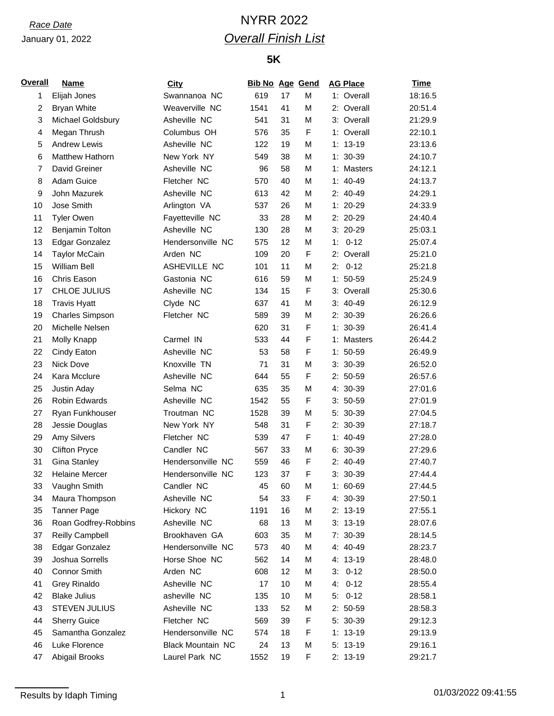# *Race Date* NYRR 2022 *Overall Finish List*

| <u>Overall</u> | <b>Name</b>            | <b>City</b>              | <b>Bib No Age Gend</b> |    |   | <b>AG Place</b>  | <b>Time</b> |
|----------------|------------------------|--------------------------|------------------------|----|---|------------------|-------------|
| 1              | Elijah Jones           | Swannanoa NC             | 619                    | 17 | M | 1: Overall       | 18:16.5     |
| $\overline{c}$ | <b>Bryan White</b>     | Weaverville NC           | 1541                   | 41 | M | 2: Overall       | 20:51.4     |
| 3              | Michael Goldsbury      | Asheville NC             | 541                    | 31 | M | 3: Overall       | 21:29.9     |
| 4              | Megan Thrush           | Columbus OH              | 576                    | 35 | F | 1: Overall       | 22:10.1     |
| 5              | <b>Andrew Lewis</b>    | Asheville NC             | 122                    | 19 | M | $1: 13-19$       | 23:13.6     |
| 6              | <b>Matthew Hathorn</b> | New York NY              | 549                    | 38 | M | $1: 30-39$       | 24:10.7     |
| $\overline{7}$ | David Greiner          | Asheville NC             | 96                     | 58 | M | 1: Masters       | 24:12.1     |
| 8              | Adam Guice             | Fletcher NC              | 570                    | 40 | M | $1: 40-49$       | 24:13.7     |
| 9              | John Mazurek           | Asheville NC             | 613                    | 42 | M | $2: 40-49$       | 24:29.1     |
| 10             | Jose Smith             | Arlington VA             | 537                    | 26 | M | $1: 20-29$       | 24:33.9     |
| 11             | <b>Tyler Owen</b>      | Fayetteville NC          | 33                     | 28 | M | 2: 20-29         | 24:40.4     |
| 12             | Benjamin Tolton        | Asheville NC             | 130                    | 28 | M | $3:20-29$        | 25:03.1     |
| 13             | Edgar Gonzalez         | Hendersonville NC        | 575                    | 12 | М | $0 - 12$<br>1: . | 25:07.4     |
| 14             | <b>Taylor McCain</b>   | Arden NC                 | 109                    | 20 | F | 2: Overall       | 25:21.0     |
| 15             | <b>William Bell</b>    | ASHEVILLE NC             | 101                    | 11 | M | $2: 0-12$        | 25:21.8     |
| 16             | Chris Eason            | Gastonia NC              | 616                    | 59 | M | $1: 50-59$       | 25:24.9     |
| 17             | CHLOE JULIUS           | Asheville NC             | 134                    | 15 | F | 3: Overall       | 25:30.6     |
| 18             | <b>Travis Hyatt</b>    | Clyde NC                 | 637                    | 41 | M | $3: 40-49$       | 26:12.9     |
| 19             | <b>Charles Simpson</b> | Fletcher NC              | 589                    | 39 | M | 2: 30-39         | 26:26.6     |
| 20             | Michelle Nelsen        |                          | 620                    | 31 | F | $1: 30-39$       | 26:41.4     |
| 21             | Molly Knapp            | Carmel IN                | 533                    | 44 | F | 1: Masters       | 26:44.2     |
| 22             | Cindy Eaton            | Asheville NC             | 53                     | 58 | F | $1: 50-59$       | 26:49.9     |
| 23             | <b>Nick Dove</b>       | Knoxville TN             | 71                     | 31 | M | $3:30-39$        | 26:52.0     |
| 24             | Kara Mcclure           | Asheville NC             | 644                    | 55 | F | $2: 50-59$       | 26:57.6     |
| 25             | Justin Aday            | Selma NC                 | 635                    | 35 | М | 4: 30-39         | 27:01.6     |
| 26             | <b>Robin Edwards</b>   | Asheville NC             | 1542                   | 55 | F | $3: 50-59$       | 27:01.9     |
| 27             | Ryan Funkhouser        | Troutman NC              | 1528                   | 39 | M | 5: 30-39         | 27:04.5     |
| 28             | Jessie Douglas         | New York NY              | 548                    | 31 | F | 2: 30-39         | 27:18.7     |
| 29             | Amy Silvers            | Fletcher NC              | 539                    | 47 | F | $1: 40-49$       | 27:28.0     |
| 30             | <b>Clifton Pryce</b>   | Candler NC               | 567                    | 33 | M | $6: 30-39$       | 27:29.6     |
| 31             | Gina Stanley           | Hendersonville NC        | 559                    | 46 | F | 2: 40-49         | 27:40.7     |
| 32             | <b>Helaine Mercer</b>  | Hendersonville NC        | 123                    | 37 | F | $3:30-39$        | 27:44.4     |
| 33             | Vaughn Smith           | Candler NC               | 45                     | 60 | М | 1: 60-69         | 27:44.5     |
| 34             | Maura Thompson         | Asheville NC             | 54                     | 33 | F | 4: 30-39         | 27:50.1     |
| 35             | <b>Tanner Page</b>     | Hickory NC               | 1191                   | 16 | M | $2: 13-19$       | 27:55.1     |
| 36             | Roan Godfrey-Robbins   | Asheville NC             | 68                     | 13 | М | $3: 13-19$       | 28:07.6     |
| 37             | Reilly Campbell        | Brookhaven GA            | 603                    | 35 | М | 7: 30-39         | 28:14.5     |
| 38             | Edgar Gonzalez         | Hendersonville NC        | 573                    | 40 | М | 4: 40-49         | 28:23.7     |
| 39             | Joshua Sorrells        | Horse Shoe NC            | 562                    | 14 | М | 4: 13-19         | 28:48.0     |
| 40             | <b>Connor Smith</b>    | Arden NC                 | 608                    | 12 | M | $0 - 12$<br>3:   | 28:50.0     |
| 41             | Grey Rinaldo           | Asheville NC             | 17                     | 10 | M | $0 - 12$<br>4:   | 28:55.4     |
| 42             | <b>Blake Julius</b>    | asheville NC             | 135                    | 10 | М | $0 - 12$<br>5.   | 28:58.1     |
| 43             | <b>STEVEN JULIUS</b>   | Asheville NC             | 133                    | 52 | М | $2: 50-59$       | 28:58.3     |
| 44             | <b>Sherry Guice</b>    | Fletcher NC              | 569                    | 39 | F | 5: 30-39         | 29:12.3     |
| 45             | Samantha Gonzalez      | Hendersonville NC        | 574                    | 18 | F | 1: 13-19         | 29:13.9     |
| 46             | Luke Florence          | <b>Black Mountain NC</b> | 24                     | 13 | M | $5: 13-19$       | 29:16.1     |
| 47             | Abigail Brooks         | Laurel Park NC           | 1552                   | 19 | F | $2: 13-19$       | 29:21.7     |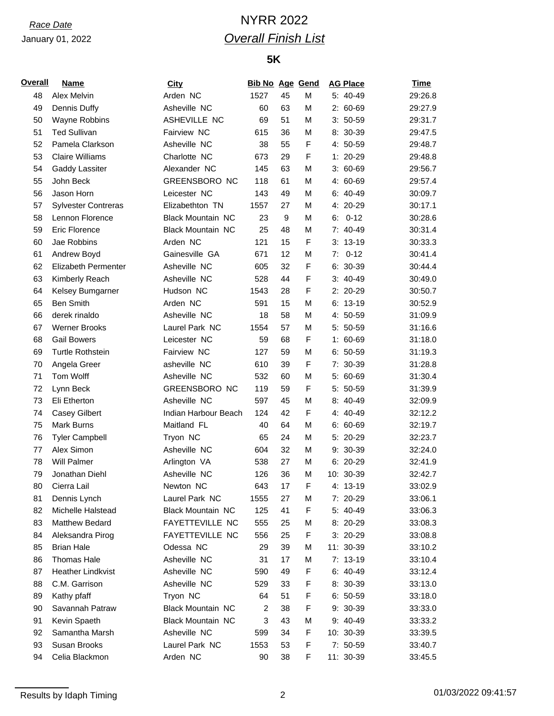# *Race Date* NYRR 2022 *Overall Finish List*

| Overall | <b>Name</b>                | <b>City</b>              | <b>Bib No Age Gend</b> |    |   |    | <b>AG Place</b> | <b>Time</b> |
|---------|----------------------------|--------------------------|------------------------|----|---|----|-----------------|-------------|
| 48      | Alex Melvin                | Arden NC                 | 1527                   | 45 | M |    | 5: 40-49        | 29:26.8     |
| 49      | Dennis Duffy               | Asheville NC             | 60                     | 63 | M |    | 2: 60-69        | 29:27.9     |
| 50      | Wayne Robbins              | ASHEVILLE NC             | 69                     | 51 | M |    | $3: 50-59$      | 29:31.7     |
| 51      | <b>Ted Sullivan</b>        | Fairview NC              | 615                    | 36 | M |    | 8: 30-39        | 29:47.5     |
| 52      | Pamela Clarkson            | Asheville NC             | 38                     | 55 | F |    | 4: 50-59        | 29:48.7     |
| 53      | <b>Claire Williams</b>     | Charlotte NC             | 673                    | 29 | F |    | 1: 20-29        | 29:48.8     |
| 54      | Gaddy Lassiter             | Alexander NC             | 145                    | 63 | M |    | $3:60-69$       | 29:56.7     |
| 55      | John Beck                  | <b>GREENSBORO NC</b>     | 118                    | 61 | M |    | 4: 60-69        | 29:57.4     |
| 56      | Jason Horn                 | Leicester NC             | 143                    | 49 | M |    | $6: 40-49$      | 30:09.7     |
| 57      | <b>Sylvester Contreras</b> | Elizabethton TN          | 1557                   | 27 | M |    | 4: 20-29        | 30:17.1     |
| 58      | Lennon Florence            | <b>Black Mountain NC</b> | 23                     | 9  | M | 6: | $0 - 12$        | 30:28.6     |
| 59      | <b>Eric Florence</b>       | <b>Black Mountain NC</b> | 25                     | 48 | M |    | 7: 40-49        | 30:31.4     |
| 60      | Jae Robbins                | Arden NC                 | 121                    | 15 | F |    | $3: 13-19$      | 30:33.3     |
| 61      | Andrew Boyd                | Gainesville GA           | 671                    | 12 | M | 7: | $0 - 12$        | 30:41.4     |
| 62      | Elizabeth Permenter        | Asheville NC             | 605                    | 32 | F |    | 6: 30-39        | 30:44.4     |
| 63      | Kimberly Reach             | Asheville NC             | 528                    | 44 | F |    | $3: 40-49$      | 30:49.0     |
| 64      | Kelsey Bumgarner           | Hudson NC                | 1543                   | 28 | F |    | 2: 20-29        | 30:50.7     |
| 65      | <b>Ben Smith</b>           | Arden NC                 | 591                    | 15 | M |    | $6: 13-19$      | 30:52.9     |
| 66      | derek rinaldo              | Asheville NC             | 18                     | 58 | M |    | 4: 50-59        | 31:09.9     |
| 67      | <b>Werner Brooks</b>       | Laurel Park NC           | 1554                   | 57 | M |    | 5: 50-59        | 31:16.6     |
| 68      | <b>Gail Bowers</b>         | Leicester NC             | 59                     | 68 | F |    | 1: 60-69        | 31:18.0     |
| 69      | <b>Turtle Rothstein</b>    | Fairview NC              | 127                    | 59 | M |    | $6: 50-59$      | 31:19.3     |
| 70      | Angela Greer               | asheville NC             | 610                    | 39 | F |    | 7: 30-39        | 31:28.8     |
| 71      | Tom Wolff                  | Asheville NC             | 532                    | 60 | M |    | 5: 60-69        | 31:30.4     |
| 72      | Lynn Beck                  | <b>GREENSBORO NC</b>     | 119                    | 59 | F |    | 5: 50-59        | 31:39.9     |
| 73      | Eli Etherton               | Asheville NC             | 597                    | 45 | M |    | 8: 40-49        | 32:09.9     |
| 74      | Casey Gilbert              | Indian Harbour Beach     | 124                    | 42 | F |    | 4: 40-49        | 32:12.2     |
| 75      | Mark Burns                 | Maitland FL              | 40                     | 64 | M |    | 6: 60-69        | 32:19.7     |
| 76      | <b>Tyler Campbell</b>      | Tryon NC                 | 65                     | 24 | M |    | 5: 20-29        | 32:23.7     |
| 77      | Alex Simon                 | Asheville NC             | 604                    | 32 | M |    | 9: 30-39        | 32:24.0     |
| 78      | <b>Will Palmer</b>         | Arlington VA             | 538                    | 27 | M |    | $6: 20-29$      | 32:41.9     |
| 79      | Jonathan Diehl             | Asheville NC             | 126                    | 36 | M |    | 10: 30-39       | 32:42.7     |
| 80      | Cierra Lail                | Newton NC                | 643                    | 17 | F |    | 4: 13-19        | 33:02.9     |
| 81      | Dennis Lynch               | Laurel Park NC           | 1555                   | 27 | M |    | 7: 20-29        | 33:06.1     |
| 82      | Michelle Halstead          | <b>Black Mountain NC</b> | 125                    | 41 | F |    | 5: 40-49        | 33:06.3     |
| 83      | Matthew Bedard             | FAYETTEVILLE NC          | 555                    | 25 | M |    | 8: 20-29        | 33:08.3     |
| 84      | Aleksandra Pirog           | FAYETTEVILLE NC          | 556                    | 25 | F |    | 3: 20-29        | 33:08.8     |
| 85      | <b>Brian Hale</b>          | Odessa NC                | 29                     | 39 | M |    | 11: 30-39       | 33:10.2     |
| 86      | <b>Thomas Hale</b>         | Asheville NC             | 31                     | 17 | M |    | 7: 13-19        | 33:10.4     |
| 87      | <b>Heather Lindkvist</b>   | Asheville NC             | 590                    | 49 | F |    | 6: 40-49        | 33:12.4     |
| 88      | C.M. Garrison              | Asheville NC             | 529                    | 33 | F |    | 8: 30-39        | 33:13.0     |
| 89      | Kathy pfaff                | Tryon NC                 | 64                     | 51 | F |    | $6: 50-59$      | 33:18.0     |
| 90      | Savannah Patraw            | <b>Black Mountain NC</b> | $\overline{c}$         | 38 | F |    | $9: 30-39$      | 33:33.0     |
| 91      | Kevin Spaeth               | <b>Black Mountain NC</b> | 3                      | 43 | М |    | 9: 40-49        | 33:33.2     |
| 92      | Samantha Marsh             | Asheville NC             | 599                    | 34 | F |    | 10: 30-39       | 33:39.5     |
| 93      | Susan Brooks               | Laurel Park NC           | 1553                   | 53 | F |    | 7: 50-59        | 33:40.7     |
| 94      | Celia Blackmon             | Arden NC                 | 90                     | 38 | F |    | 11: 30-39       | 33:45.5     |
|         |                            |                          |                        |    |   |    |                 |             |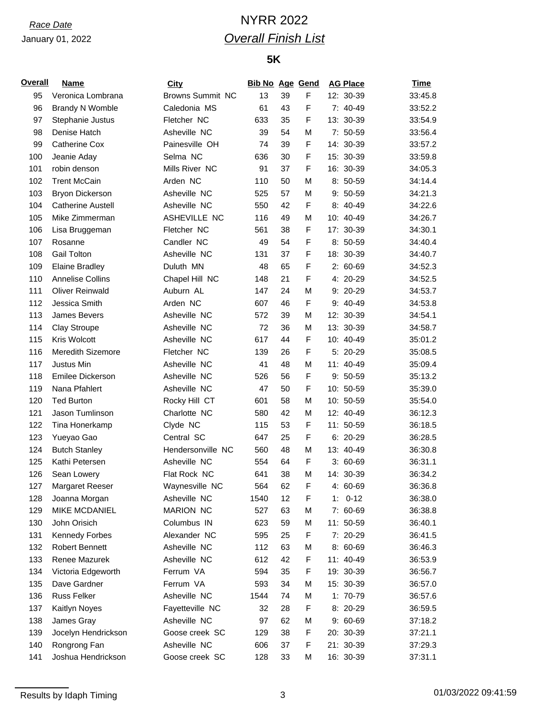# *Race Date* NYRR 2022 *Overall Finish List*

| <b>Overall</b> | <b>Name</b>              | City                    | <b>Bib No Age Gend</b> |    |   | <b>AG Place</b> | Time    |
|----------------|--------------------------|-------------------------|------------------------|----|---|-----------------|---------|
| 95             | Veronica Lombrana        | <b>Browns Summit NC</b> | 13                     | 39 | F | 12: 30-39       | 33:45.8 |
| 96             | <b>Brandy N Womble</b>   | Caledonia MS            | 61                     | 43 | F | 7: 40-49        | 33:52.2 |
| 97             | Stephanie Justus         | Fletcher NC             | 633                    | 35 | F | 13: 30-39       | 33:54.9 |
| 98             | Denise Hatch             | Asheville NC            | 39                     | 54 | M | 7: 50-59        | 33:56.4 |
| 99             | <b>Catherine Cox</b>     | Painesville OH          | 74                     | 39 | F | 14: 30-39       | 33:57.2 |
| 100            | Jeanie Aday              | Selma NC                | 636                    | 30 | F | 15: 30-39       | 33:59.8 |
| 101            | robin denson             | Mills River NC          | 91                     | 37 | F | 16: 30-39       | 34:05.3 |
| 102            | <b>Trent McCain</b>      | Arden NC                | 110                    | 50 | M | $8:50-59$       | 34:14.4 |
| 103            | Bryon Dickerson          | Asheville NC            | 525                    | 57 | M | $9:50-59$       | 34:21.3 |
| 104            | <b>Catherine Austell</b> | Asheville NC            | 550                    | 42 | F | 8: 40-49        | 34:22.6 |
| 105            | Mike Zimmerman           | ASHEVILLE NC            | 116                    | 49 | M | 10: 40-49       | 34:26.7 |
| 106            | Lisa Bruggeman           | Fletcher NC             | 561                    | 38 | F | 17: 30-39       | 34:30.1 |
| 107            | Rosanne                  | Candler NC              | 49                     | 54 | F | 8: 50-59        | 34:40.4 |
| 108            | <b>Gail Tolton</b>       | Asheville NC            | 131                    | 37 | F | 18: 30-39       | 34:40.7 |
| 109            | <b>Elaine Bradley</b>    | Duluth MN               | 48                     | 65 | F | $2: 60-69$      | 34:52.3 |
| 110            | <b>Annelise Collins</b>  | Chapel Hill NC          | 148                    | 21 | F | 4: 20-29        | 34:52.5 |
| 111            | <b>Oliver Reinwald</b>   | Auburn AL               | 147                    | 24 | M | $9: 20-29$      | 34:53.7 |
| 112            | Jessica Smith            | Arden NC                | 607                    | 46 | F | 9: 40-49        | 34:53.8 |
| 113            | James Bevers             | Asheville NC            | 572                    | 39 | M | 12: 30-39       | 34:54.1 |
| 114            | Clay Stroupe             | Asheville NC            | 72                     | 36 | M | 13: 30-39       | 34:58.7 |
| 115            | Kris Wolcott             | Asheville NC            | 617                    | 44 | F | 10: 40-49       | 35:01.2 |
| 116            | <b>Meredith Sizemore</b> | Fletcher NC             | 139                    | 26 | F | 5: 20-29        | 35:08.5 |
| 117            | Justus Min               | Asheville NC            | 41                     | 48 | M | 11: 40-49       | 35:09.4 |
| 118            | Emilee Dickerson         | Asheville NC            | 526                    | 56 | F | $9:50-59$       | 35:13.2 |
| 119            | Nana Pfahlert            | Asheville NC            | 47                     | 50 | F | 10: 50-59       | 35:39.0 |
| 120            | <b>Ted Burton</b>        | Rocky Hill CT           | 601                    | 58 | M | 10: 50-59       | 35:54.0 |
| 121            | Jason Tumlinson          | Charlotte NC            | 580                    | 42 | M | 12: 40-49       | 36:12.3 |
| 122            | Tina Honerkamp           | Clyde NC                | 115                    | 53 | F | 11: 50-59       | 36:18.5 |
| 123            | Yueyao Gao               | Central SC              | 647                    | 25 | F | $6: 20-29$      | 36:28.5 |
| 124            | <b>Butch Stanley</b>     | Hendersonville NC       | 560                    | 48 | M | 13: 40-49       | 36:30.8 |
| 125            | Kathi Petersen           | Asheville NC            | 554                    | 64 | F | $3:60-69$       | 36:31.1 |
| 126            | Sean Lowery              | Flat Rock NC            | 641                    | 38 | M | 14: 30-39       | 36:34.2 |
| 127            | Margaret Reeser          | Waynesville NC          | 564                    | 62 | F | 4: 60-69        | 36:36.8 |
| 128            | Joanna Morgan            | Asheville NC            | 1540                   | 12 | F | $1: 0-12$       | 36:38.0 |
| 129            | MIKE MCDANIEL            | <b>MARION NC</b>        | 527                    | 63 | M | 7: 60-69        | 36:38.8 |
| 130            | John Orisich             | Columbus IN             | 623                    | 59 | M | 11: 50-59       | 36:40.1 |
| 131            | <b>Kennedy Forbes</b>    | Alexander NC            | 595                    | 25 | F | 7: 20-29        | 36:41.5 |
| 132            | <b>Robert Bennett</b>    | Asheville NC            | 112                    | 63 | M | $8:60-69$       | 36:46.3 |
| 133            | Renee Mazurek            | Asheville NC            | 612                    | 42 | F | 11: 40-49       | 36:53.9 |
| 134            | Victoria Edgeworth       | Ferrum VA               | 594                    | 35 | F | 19: 30-39       | 36:56.7 |
| 135            | Dave Gardner             | Ferrum VA               | 593                    | 34 | M | 15: 30-39       | 36:57.0 |
| 136            | Russ Felker              | Asheville NC            | 1544                   | 74 | M | $1: 70-79$      | 36:57.6 |
| 137            | Kaitlyn Noyes            | Fayetteville NC         | 32                     | 28 | F | $8:20-29$       | 36:59.5 |
| 138            | James Gray               | Asheville NC            | 97                     | 62 | M | 9: 60-69        | 37:18.2 |
| 139            | Jocelyn Hendrickson      | Goose creek SC          | 129                    | 38 | F | 20: 30-39       | 37:21.1 |
| 140            | Rongrong Fan             | Asheville NC            | 606                    | 37 | F | 21: 30-39       | 37:29.3 |
| 141            | Joshua Hendrickson       | Goose creek SC          | 128                    | 33 | М | 16: 30-39       | 37:31.1 |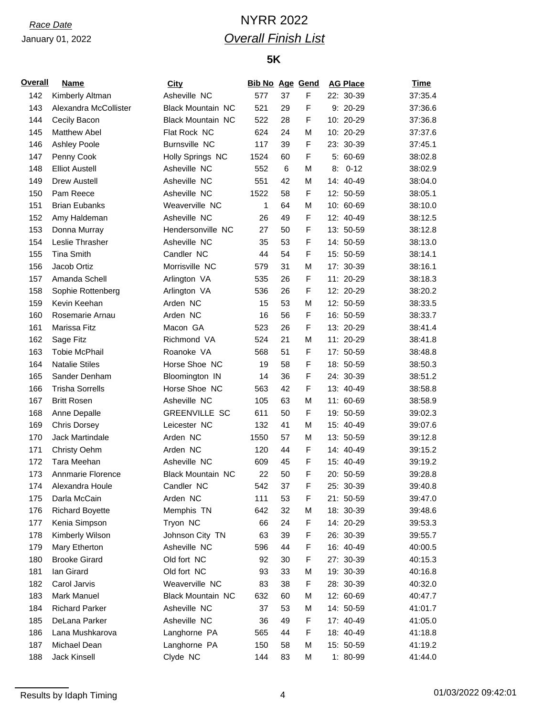# *Race Date* NYRR 2022 *Overall Finish List*

| <b>Overall</b> | <b>Name</b>            | City                     | <b>Bib No Age Gend</b> |    |   | <b>AG Place</b> | <b>Time</b> |
|----------------|------------------------|--------------------------|------------------------|----|---|-----------------|-------------|
| 142            | Kimberly Altman        | Asheville NC             | 577                    | 37 | F | 22: 30-39       | 37:35.4     |
| 143            | Alexandra McCollister  | <b>Black Mountain NC</b> | 521                    | 29 | F | 9: 20-29        | 37:36.6     |
| 144            | Cecily Bacon           | <b>Black Mountain NC</b> | 522                    | 28 | F | 10: 20-29       | 37:36.8     |
| 145            | Matthew Abel           | Flat Rock NC             | 624                    | 24 | M | 10: 20-29       | 37:37.6     |
| 146            | <b>Ashley Poole</b>    | <b>Burnsville NC</b>     | 117                    | 39 | F | 23: 30-39       | 37:45.1     |
| 147            | Penny Cook             | Holly Springs NC         | 1524                   | 60 | F | $5:60-69$       | 38:02.8     |
| 148            | <b>Elliot Austell</b>  | Asheville NC             | 552                    | 6  | M | $8: 0-12$       | 38:02.9     |
| 149            | <b>Drew Austell</b>    | Asheville NC             | 551                    | 42 | M | 14: 40-49       | 38:04.0     |
| 150            | Pam Reece              | Asheville NC             | 1522                   | 58 | F | 12: 50-59       | 38:05.1     |
| 151            | <b>Brian Eubanks</b>   | Weaverville NC           | 1                      | 64 | M | 10: 60-69       | 38:10.0     |
| 152            | Amy Haldeman           | Asheville NC             | 26                     | 49 | F | 12: 40-49       | 38:12.5     |
| 153            | Donna Murray           | Hendersonville NC        | 27                     | 50 | F | 13: 50-59       | 38:12.8     |
| 154            | Leslie Thrasher        | Asheville NC             | 35                     | 53 | F | 14: 50-59       | 38:13.0     |
| 155            | <b>Tina Smith</b>      | Candler NC               | 44                     | 54 | F | 15: 50-59       | 38:14.1     |
| 156            | Jacob Ortiz            | Morrisville NC           | 579                    | 31 | M | 17: 30-39       | 38:16.1     |
| 157            | Amanda Schell          | Arlington VA             | 535                    | 26 | F | 11: 20-29       | 38:18.3     |
| 158            | Sophie Rottenberg      | Arlington VA             | 536                    | 26 | F | 12: 20-29       | 38:20.2     |
| 159            | Kevin Keehan           | Arden NC                 | 15                     | 53 | M | 12: 50-59       | 38:33.5     |
| 160            | Rosemarie Arnau        | Arden NC                 | 16                     | 56 | F | 16: 50-59       | 38:33.7     |
| 161            | Marissa Fitz           | Macon GA                 | 523                    | 26 | F | 13: 20-29       | 38:41.4     |
| 162            | Sage Fitz              | Richmond VA              | 524                    | 21 | M | 11: 20-29       | 38:41.8     |
| 163            | <b>Tobie McPhail</b>   | Roanoke VA               | 568                    | 51 | F | 17: 50-59       | 38:48.8     |
| 164            | <b>Natalie Stiles</b>  | Horse Shoe NC            | 19                     | 58 | F | 18: 50-59       | 38:50.3     |
| 165            | Sander Denham          | Bloomington IN           | 14                     | 36 | F | 24: 30-39       | 38:51.2     |
| 166            | <b>Trisha Sorrells</b> | Horse Shoe NC            | 563                    | 42 | F | 13: 40-49       | 38:58.8     |
| 167            | <b>Britt Rosen</b>     | Asheville NC             | 105                    | 63 | M | 11: 60-69       | 38:58.9     |
| 168            | Anne Depalle           | <b>GREENVILLE SC</b>     | 611                    | 50 | F | 19: 50-59       | 39:02.3     |
| 169            | <b>Chris Dorsey</b>    | Leicester NC             | 132                    | 41 | M | 15: 40-49       | 39:07.6     |
| 170            | Jack Martindale        | Arden NC                 | 1550                   | 57 | M | 13: 50-59       | 39:12.8     |
| 171            | Christy Oehm           | Arden NC                 | 120                    | 44 | F | 14: 40-49       | 39:15.2     |
| 172            | Tara Meehan            | Asheville NC             | 609                    | 45 | F | 15: 40-49       | 39:19.2     |
| 173            | Annmarie Florence      | <b>Black Mountain NC</b> | 22                     | 50 | F | 20: 50-59       | 39:28.8     |
| 174            | Alexandra Houle        | Candler NC               | 542                    | 37 | F | 25: 30-39       | 39:40.8     |
| 175            | Darla McCain           | Arden NC                 | 111                    | 53 | F | 21: 50-59       | 39:47.0     |
| 176            | <b>Richard Boyette</b> | Memphis TN               | 642                    | 32 | M | 18: 30-39       | 39:48.6     |
| 177            | Kenia Simpson          | Tryon NC                 | 66                     | 24 | F | 14: 20-29       | 39:53.3     |
| 178            | Kimberly Wilson        | Johnson City TN          | 63                     | 39 | F | 26: 30-39       | 39:55.7     |
| 179            | Mary Etherton          | Asheville NC             | 596                    | 44 | F | 16: 40-49       | 40:00.5     |
| 180            | <b>Brooke Girard</b>   | Old fort NC              | 92                     | 30 | F | 27: 30-39       | 40:15.3     |
| 181            | lan Girard             | Old fort NC              | 93                     | 33 | M | 19: 30-39       | 40:16.8     |
| 182            | Carol Jarvis           | Weaverville NC           | 83                     | 38 | F | 28: 30-39       | 40:32.0     |
| 183            | Mark Manuel            | <b>Black Mountain NC</b> | 632                    | 60 | M | 12: 60-69       | 40:47.7     |
| 184            | <b>Richard Parker</b>  | Asheville NC             | 37                     | 53 | M | 14: 50-59       | 41:01.7     |
| 185            | DeLana Parker          | Asheville NC             | 36                     | 49 | F | 17: 40-49       | 41:05.0     |
| 186            | Lana Mushkarova        | Langhorne PA             | 565                    | 44 | F | 18: 40-49       | 41:18.8     |
| 187            | Michael Dean           | Langhorne PA             | 150                    | 58 | M | 15: 50-59       | 41:19.2     |
| 188            | Jack Kinsell           | Clyde NC                 | 144                    | 83 | М | 1: 80-99        | 41:44.0     |
|                |                        |                          |                        |    |   |                 |             |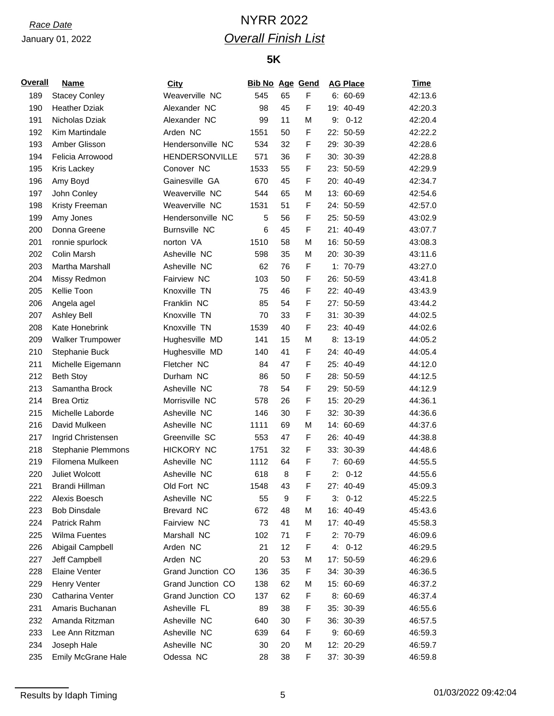# *Race Date* NYRR 2022 *Overall Finish List*

| <b>Overall</b> | Name                    | <b>City</b>          | <b>Bib No Age Gend</b> |    |   | <b>AG Place</b> | Time    |
|----------------|-------------------------|----------------------|------------------------|----|---|-----------------|---------|
| 189            | <b>Stacey Conley</b>    | Weaverville NC       | 545                    | 65 | F | $6: 60-69$      | 42:13.6 |
| 190            | <b>Heather Dziak</b>    | Alexander NC         | 98                     | 45 | F | 19: 40-49       | 42:20.3 |
| 191            | Nicholas Dziak          | Alexander NC         | 99                     | 11 | M | $0 - 12$<br>9:  | 42:20.4 |
| 192            | Kim Martindale          | Arden NC             | 1551                   | 50 | F | 22: 50-59       | 42:22.2 |
| 193            | Amber Glisson           | Hendersonville NC    | 534                    | 32 | F | 29: 30-39       | 42:28.6 |
| 194            | Felicia Arrowood        | HENDERSONVILLE       | 571                    | 36 | F | 30: 30-39       | 42:28.8 |
| 195            | Kris Lackey             | Conover NC           | 1533                   | 55 | F | 23: 50-59       | 42:29.9 |
| 196            | Amy Boyd                | Gainesville GA       | 670                    | 45 | F | 20: 40-49       | 42:34.7 |
| 197            | John Conley             | Weaverville NC       | 544                    | 65 | M | 13: 60-69       | 42:54.6 |
| 198            | Kristy Freeman          | Weaverville NC       | 1531                   | 51 | F | 24: 50-59       | 42:57.0 |
| 199            | Amy Jones               | Hendersonville NC    | 5                      | 56 | F | 25: 50-59       | 43:02.9 |
| 200            | Donna Greene            | <b>Burnsville NC</b> | 6                      | 45 | F | 21: 40-49       | 43:07.7 |
| 201            | ronnie spurlock         | norton VA            | 1510                   | 58 | M | 16: 50-59       | 43:08.3 |
| 202            | Colin Marsh             | Asheville NC         | 598                    | 35 | M | 20: 30-39       | 43:11.6 |
| 203            | Martha Marshall         | Asheville NC         | 62                     | 76 | F | 1: 70-79        | 43:27.0 |
| 204            | Missy Redmon            | Fairview NC          | 103                    | 50 | F | 26: 50-59       | 43:41.8 |
| 205            | Kellie Toon             | Knoxville TN         | 75                     | 46 | F | 22: 40-49       | 43:43.9 |
| 206            | Angela agel             | Franklin NC          | 85                     | 54 | F | 27: 50-59       | 43:44.2 |
| 207            | <b>Ashley Bell</b>      | Knoxville TN         | 70                     | 33 | F | 31: 30-39       | 44:02.5 |
| 208            | Kate Honebrink          | Knoxville TN         | 1539                   | 40 | F | 23: 40-49       | 44:02.6 |
| 209            | <b>Walker Trumpower</b> | Hughesville MD       | 141                    | 15 | M | $8:13-19$       | 44:05.2 |
| 210            | Stephanie Buck          | Hughesville MD       | 140                    | 41 | F | 24: 40-49       | 44:05.4 |
| 211            | Michelle Eigemann       | Fletcher NC          | 84                     | 47 | F | 25: 40-49       | 44:12.0 |
| 212            | <b>Beth Stoy</b>        | Durham NC            | 86                     | 50 | F | 28: 50-59       | 44:12.5 |
| 213            | Samantha Brock          | Asheville NC         | 78                     | 54 | F | 29: 50-59       | 44:12.9 |
| 214            | <b>Brea Ortiz</b>       | Morrisville NC       | 578                    | 26 | F | 15: 20-29       | 44:36.1 |
| 215            | Michelle Laborde        | Asheville NC         | 146                    | 30 | F | 32: 30-39       | 44:36.6 |
| 216            | David Mulkeen           | Asheville NC         | 1111                   | 69 | M | 14: 60-69       | 44:37.6 |
| 217            | Ingrid Christensen      | Greenville SC        | 553                    | 47 | F | 26: 40-49       | 44:38.8 |
| 218            | Stephanie Plemmons      | HICKORY NC           | 1751                   | 32 | F | 33: 30-39       | 44:48.6 |
| 219            | Filomena Mulkeen        | Asheville NC         | 1112                   | 64 | F | 7: 60-69        | 44:55.5 |
| 220            | Juliet Wolcott          | Asheville NC         | 618                    | 8  | F | $2: 0-12$       | 44:55.6 |
| 221            | Brandi Hillman          | Old Fort NC          | 1548                   | 43 | F | 27: 40-49       | 45:09.3 |
| 222            | Alexis Boesch           | Asheville NC         | 55                     | 9  | F | $3: 0-12$       | 45:22.5 |
| 223            | <b>Bob Dinsdale</b>     | Brevard NC           | 672                    | 48 | M | 16: 40-49       | 45:43.6 |
| 224            | Patrick Rahm            | Fairview NC          | 73                     | 41 | M | 17: 40-49       | 45:58.3 |
| 225            | Wilma Fuentes           | Marshall NC          | 102                    | 71 | F | 2: 70-79        | 46:09.6 |
| 226            | Abigail Campbell        | Arden NC             | 21                     | 12 | F | $4: 0-12$       | 46:29.5 |
| 227            | Jeff Campbell           | Arden NC             | 20                     | 53 | M | 17: 50-59       | 46:29.6 |
| 228            | <b>Elaine Venter</b>    | Grand Junction CO    | 136                    | 35 | F | 34: 30-39       | 46:36.5 |
| 229            | Henry Venter            | Grand Junction CO    | 138                    | 62 | M | 15: 60-69       | 46:37.2 |
| 230            | Catharina Venter        | Grand Junction CO    | 137                    | 62 | F | 8: 60-69        | 46:37.4 |
| 231            | Amaris Buchanan         | Asheville FL         | 89                     | 38 | F | 35: 30-39       | 46:55.6 |
| 232            | Amanda Ritzman          | Asheville NC         | 640                    | 30 | F | 36: 30-39       | 46:57.5 |
| 233            | Lee Ann Ritzman         | Asheville NC         | 639                    | 64 | F | $9:60-69$       | 46:59.3 |
| 234            | Joseph Hale             | Asheville NC         | 30                     | 20 | M | 12: 20-29       | 46:59.7 |
| 235            | Emily McGrane Hale      | Odessa NC            | 28                     | 38 | F | 37: 30-39       | 46:59.8 |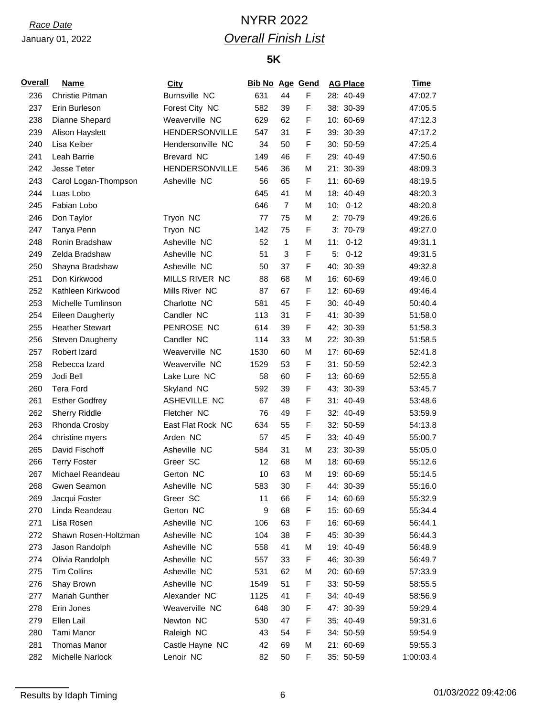# *Race Date* NYRR 2022 *Overall Finish List*

| Overall | <b>Name</b>             | City                 | <b>Bib No Age Gend</b> |                |   | <b>AG Place</b> | <b>Time</b> |
|---------|-------------------------|----------------------|------------------------|----------------|---|-----------------|-------------|
| 236     | Christie Pitman         | <b>Burnsville NC</b> | 631                    | 44             | F | 28: 40-49       | 47:02.7     |
| 237     | Erin Burleson           | Forest City NC       | 582                    | 39             | F | 38: 30-39       | 47:05.5     |
| 238     | Dianne Shepard          | Weaverville NC       | 629                    | 62             | F | 10: 60-69       | 47:12.3     |
| 239     | Alison Hayslett         | HENDERSONVILLE       | 547                    | 31             | F | 39: 30-39       | 47:17.2     |
| 240     | Lisa Keiber             | Hendersonville NC    | 34                     | 50             | F | 30: 50-59       | 47:25.4     |
| 241     | Leah Barrie             | Brevard NC           | 149                    | 46             | F | 29: 40-49       | 47:50.6     |
| 242     | Jesse Teter             | HENDERSONVILLE       | 546                    | 36             | M | 21: 30-39       | 48:09.3     |
| 243     | Carol Logan-Thompson    | Asheville NC         | 56                     | 65             | F | 11: 60-69       | 48:19.5     |
| 244     | Luas Lobo               |                      | 645                    | 41             | M | 18: 40-49       | 48:20.3     |
| 245     | Fabian Lobo             |                      | 646                    | $\overline{7}$ | M | $10: 0-12$      | 48:20.8     |
| 246     | Don Taylor              | Tryon NC             | 77                     | 75             | M | 2: 70-79        | 49:26.6     |
| 247     | Tanya Penn              | Tryon NC             | 142                    | 75             | F | 3: 70-79        | 49:27.0     |
| 248     | Ronin Bradshaw          | Asheville NC         | 52                     | $\mathbf{1}$   | M | $0 - 12$<br>11: | 49:31.1     |
| 249     | Zelda Bradshaw          | Asheville NC         | 51                     | 3              | F | $0 - 12$<br>5:  | 49:31.5     |
| 250     | Shayna Bradshaw         | Asheville NC         | 50                     | 37             | F | 40: 30-39       | 49:32.8     |
| 251     | Don Kirkwood            | MILLS RIVER NC       | 88                     | 68             | M | 16: 60-69       | 49:46.0     |
| 252     | Kathleen Kirkwood       | Mills River NC       | 87                     | 67             | F | 12: 60-69       | 49:46.4     |
| 253     | Michelle Tumlinson      | Charlotte NC         | 581                    | 45             | F | 30: 40-49       | 50:40.4     |
| 254     | <b>Eileen Daugherty</b> | Candler NC           | 113                    | 31             | F | 41: 30-39       | 51:58.0     |
| 255     | <b>Heather Stewart</b>  | PENROSE NC           | 614                    | 39             | F | 42: 30-39       | 51:58.3     |
| 256     | <b>Steven Daugherty</b> | Candler NC           | 114                    | 33             | M | 22: 30-39       | 51:58.5     |
| 257     | Robert Izard            | Weaverville NC       | 1530                   | 60             | M | 17: 60-69       | 52:41.8     |
| 258     | Rebecca Izard           | Weaverville NC       | 1529                   | 53             | F | 31: 50-59       | 52:42.3     |
| 259     | Jodi Bell               | Lake Lure NC         | 58                     | 60             | F | 13: 60-69       | 52:55.8     |
| 260     | <b>Tera Ford</b>        | Skyland NC           | 592                    | 39             | F | 43: 30-39       | 53:45.7     |
| 261     | <b>Esther Godfrey</b>   | ASHEVILLE NC         | 67                     | 48             | F | 31: 40-49       | 53:48.6     |
| 262     | <b>Sherry Riddle</b>    | Fletcher NC          | 76                     | 49             | F | 32: 40-49       | 53:59.9     |
| 263     | Rhonda Crosby           | East Flat Rock NC    | 634                    | 55             | F | 32: 50-59       | 54:13.8     |
| 264     | christine myers         | Arden NC             | 57                     | 45             | F | 33: 40-49       | 55:00.7     |
| 265     | David Fischoff          | Asheville NC         | 584                    | 31             | M | 23: 30-39       | 55:05.0     |
| 266     | <b>Terry Foster</b>     | Greer SC             | 12                     | 68             | M | 18: 60-69       | 55:12.6     |
| 267     | Michael Reandeau        | Gerton NC            | 10                     | 63             | M | 19: 60-69       | 55:14.5     |
| 268     | Gwen Seamon             | Asheville NC         | 583                    | 30             | F | 44: 30-39       | 55:16.0     |
| 269     | Jacqui Foster           | Greer SC             | 11                     | 66             | F | 14: 60-69       | 55:32.9     |
| 270     | Linda Reandeau          | Gerton NC            | 9                      | 68             | F | 15: 60-69       | 55:34.4     |
| 271     | Lisa Rosen              | Asheville NC         | 106                    | 63             | F | 16: 60-69       | 56:44.1     |
| 272     | Shawn Rosen-Holtzman    | Asheville NC         | 104                    | 38             | F | 45: 30-39       | 56:44.3     |
| 273     | Jason Randolph          | Asheville NC         | 558                    | 41             | M | 19: 40-49       | 56:48.9     |
| 274     | Olivia Randolph         | Asheville NC         | 557                    | 33             | F | 46: 30-39       | 56:49.7     |
| 275     | <b>Tim Collins</b>      | Asheville NC         | 531                    | 62             | M | 20: 60-69       | 57:33.9     |
| 276     | Shay Brown              | Asheville NC         | 1549                   | 51             | F | 33: 50-59       | 58:55.5     |
| 277     | Mariah Gunther          | Alexander NC         | 1125                   | 41             | F | 34: 40-49       | 58:56.9     |
| 278     | Erin Jones              | Weaverville NC       | 648                    | 30             | F | 47: 30-39       | 59:29.4     |
| 279     | Ellen Lail              | Newton NC            | 530                    | 47             | F | 35: 40-49       | 59:31.6     |
| 280     | Tami Manor              | Raleigh NC           | 43                     | 54             | F | 34: 50-59       | 59:54.9     |
| 281     | <b>Thomas Manor</b>     | Castle Hayne NC      | 42                     | 69             | M | 21: 60-69       | 59:55.3     |
| 282     | Michelle Narlock        | Lenoir NC            | 82                     | 50             | F | 35: 50-59       | 1:00:03.4   |